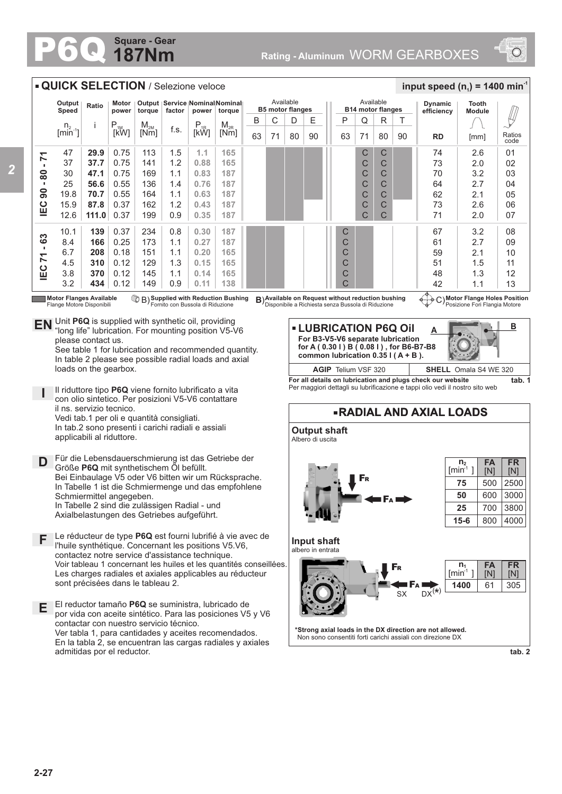## **187Nm Square - Gear**



 $\cancel{\psi}$ 

**B**

**FR** [N]

3000 3800 4000

2500

305

**tab. 2**

**FR** [N]

**FA** [N]

**FA** [N] 61

## **QUICK SELECTION** / Selezione veloce  $\frac{1}{2}$  **input speed (n**<sub>1</sub>) = 1400 min<sup>-1</sup> Available Available **Output Tooth Speed Ratio Motor power Output Service Nominal Nominal Dynamic B5 motor flanges B14 motor flanges torque factor power torque efficiency Module** R T B C D E || P Q i |P<br>[kW]  $\begin{array}{c|c} M_{2M} \ \hline \ \hline \end{array}$  F.s.  $\begin{array}{c|c} P_{1R} \ \hline \end{array}$ M<sub>2R</sub><br>[Nm]  $\sqrt{ }$ n.  $[kW]$  $[min^{-1}]$ 80 90 **RD** [mm] Ratios 63 71 80 90 63 71 [mm] 0.75 C C 74  $2.6$ 47 **29.9** 113 1.5 **1.1 165 IEC 90 - 80 - 71**  $-7 - 08 - 06$ 37 **37.7** 0.75 1.2 C C 73 2.0 141 **0.88 165** 30 **47.1** 0.75 169 **0.83 187** C C 70 3.2 1.1 25 0.55 **0.76 56.6** 136 1.4 **187** C C 64 2.7 19.8 **70.7** 0.55  $\overline{C}$ C 62 164 1.1 **0.63 187**  $2.1$  $rac{1}{2}$ 15.9 **87.8** 0.37 C C 73 2.6 162 1.2 **0.43 187**  $\overline{C}$  $\overline{C}$ 71 12.6 **111.0** 0.37 199 0.9 **0.35 187** 2.0 10.1 **139** 0.37 234 0.8 **0.30 187** C 67 3.2 **IEC 71 - 63** 0.25 2.7 8.4 **166** 173 1.1 **0.27 187** C 61 6.7 **208** 0.18 151 **0.20 165** C 1.1 2.1 59 4.5 **310** 0.12 129 1.3 **0.15 165** C 51 1.5 3.8 **370** 0.12 145 **0.14 165** C 48 1.1 1.3 3.2 **434** 0.12 149 0.9 **0.11** 42 **138**  $\mathcal{C}$ 1.1 **Supplied with Reduction Bushing Motor Flange Holes Position Motor Flanges Available** Flange Motore Disponibili **Available on Request with Reduction Bushing B) Available on Request without reduction bushing**  $\left(\frac{1}{2}\right)$  **C)** Disponibile a Richiesta senza Bussola di Riduzione ornito con Bussola di Riduzion Posizione Fori Flangia Motore **EN** Unit **P6Q** is supplied with synthetic oil, providing  $V5-V$ **LUBRICATION P6Q Oil**  "long life" lubrication. For mounting position V5-V6 **A For B3-V5-V6 separate lubrication** please contact us. **for A ( 0.30 l ) B ( 0.08 l ) , for B6-B7-B8** See table 1 for lubrication and recommended quantity. **common lubrication 0.35 l ( A + B ).**  In table 2 please see possible radial loads and axial loads on the gearbox. **AGIP** Telium VSF 320 **SHELL** Omala S4 WE 320 **For all details on lubrication and plugs check our website tab. 1** Per maggiori dettagli su lubrificazione e tappi olio vedi il nostro sito web Il riduttore tipo **P6Q** viene fornito lubrificato a vita **I** con olio sintetico. Per posizioni V5-V6 contattare il ns. servizio tecnico. **RADIAL AND AXIAL LOADS** Vedi tab.1 per oli e quantità consigliati. In tab.2 sono presenti i carichi radiali e assiali **Output shaft** applicabili al riduttore. Albero di uscita Für die Lebensdauerschmierung ist das Getriebe der **D n 2** Größe **P6Q** mit synthetischem Öl befüllt.  $[min^1]$ Bei Einbaulage V5 oder V6 bitten wir um Rücksprache. F<sup>R</sup> **75** 500 In Tabelle 1 ist die Schmiermenge und das empfohlene **50** 600 Schmiermittel angegeben. F<sup>A</sup> In Tabelle 2 sind die zulässigen Radial - und **25** 700 Axialbelastungen des Getriebes aufgeführt. **15-6** 800 **F** Le réducteur de type **P6Q** est fourni lubrifié à vie avec de **Input shaft** l'huile synthétique. Concernant les positions V5.V6, albero in entrata contactez notre service d'assistance technique. Voir tableau 1 concernant les huiles et les quantités conseillées. **n 1** F<sup>R</sup> Les charges radiales et axiales applicables au réducteur  $[min^1]$ sont précisées dans le tableau 2. **1400** F<sup>A</sup>  $S_X$  DX<sup>(\*)</sup> El reductor tamaño **P6Q** se suministra, lubricado de **E** por vida con aceite sintético. Para las posiciones V5 y V6 contactar con nuestro servicio técnico. **\*Strong axial loads in the DX direction are not allowed.** Ver tabla 1, para cantidades y aceites recomendados. Non sono consentiti forti carichi assiali con direzione DX En la tabla 2, se encuentran las cargas radiales y axiales admitidas por el reductor.

*2*